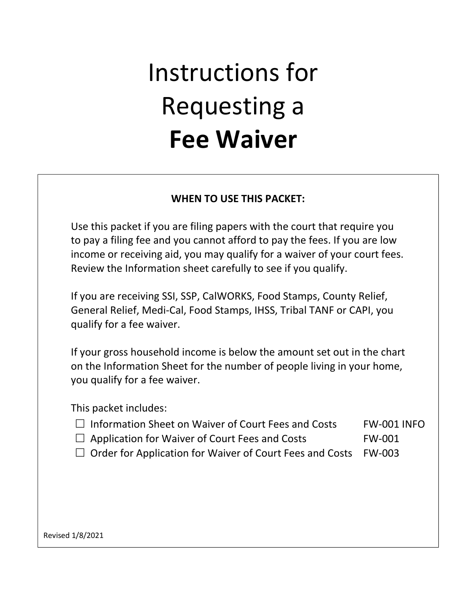# Instructions for Requesting a Fee Waiver

### WHEN TO USE THIS PACKET:

Use this packet if you are filing papers with the court that require you to pay a filing fee and you cannot afford to pay the fees. If you are low income or receiving aid, you may qualify for a waiver of your court fees. Review the Information sheet carefully to see if you qualify.

If you are receiving SSI, SSP, CalWORKS, Food Stamps, County Relief, General Relief, Medi-Cal, Food Stamps, IHSS, Tribal TANF or CAPI, you qualify for a fee waiver.

If your gross household income is below the amount set out in the chart on the Information Sheet for the number of people living in your home, you qualify for a fee waiver.

This packet includes:

- $\Box$  Information Sheet on Waiver of Court Fees and Costs FW-001 INFO
- $\Box$  Application for Waiver of Court Fees and Costs FW-001
- $\Box$  Order for Application for Waiver of Court Fees and Costs FW-003

Revised 1/8/2021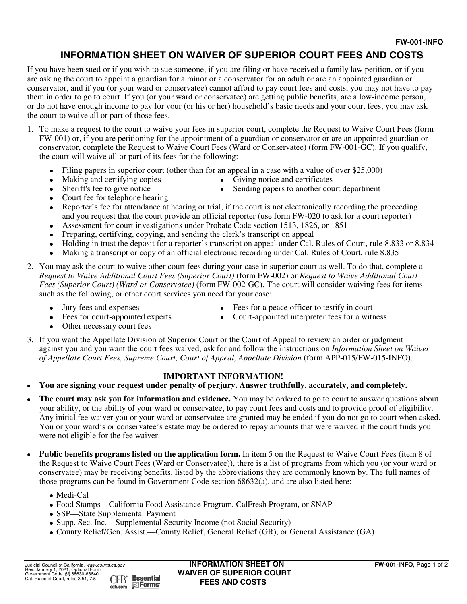#### **INFORMATION SHEET ON WAIVER OF SUPERIOR COURT FEES AND COSTS**

If you have been sued or if you wish to sue someone, if you are filing or have received a family law petition, or if you are asking the court to appoint a guardian for a minor or a conservator for an adult or are an appointed guardian or conservator, and if you (or your ward or conservatee) cannot afford to pay court fees and costs, you may not have to pay them in order to go to court. If you (or your ward or conservatee) are getting public benefits, are a low-income person, or do not have enough income to pay for your (or his or her) household's basic needs and your court fees, you may ask the court to waive all or part of those fees.

- 1. To make a request to the court to waive your fees in superior court, complete the Request to Waive Court Fees (form FW-001) or, if you are petitioning for the appointment of a guardian or conservator or are an appointed guardian or conservator, complete the Request to Waive Court Fees (Ward or Conservatee) (form FW-001-GC). If you qualify, the court will waive all or part of its fees for the following:
	- Filing papers in superior court (other than for an appeal in a case with a value of over \$25,000)
	- Making and certifying copies
- Giving notice and certificates

Sheriff's fee to give notice

- $\bullet$ Sending papers to another court department
- Court fee for telephone hearing
- Reporter's fee for attendance at hearing or trial, if the court is not electronically recording the proceeding and you request that the court provide an official reporter (use form FW-020 to ask for a court reporter)
- Assessment for court investigations under Probate Code section 1513, 1826, or 1851
- Preparing, certifying, copying, and sending the clerk's transcript on appeal
- Holding in trust the deposit for a reporter's transcript on appeal under Cal. Rules of Court, rule 8.833 or 8.834
- Making a transcript or copy of an official electronic recording under Cal. Rules of Court, rule 8.835
- 2. You may ask the court to waive other court fees during your case in superior court as well. To do that, complete a *Request to Waive Additional Court Fees (Superior Court)* (form FW-002) or *Request to Waive Additional Court Fees (Superior Court) (Ward or Conservatee)* (form FW-002-GC). The court will consider waiving fees for items such as the following, or other court services you need for your case:
	- Jury fees and expenses
- Fees for a peace officer to testify in court
- Fees for court-appointed experts
- $\bullet$ Court-appointed interpreter fees for a witness
- $\bullet$ Other necessary court fees
- 3. If you want the Appellate Division of Superior Court or the Court of Appeal to review an order or judgment against you and you want the court fees waived, ask for and follow the instructions on *Information Sheet on Waiver of Appellate Court Fees, Supreme Court, Court of Appeal, Appellate Division* (form APP-015/FW-015-INFO).

#### **IMPORTANT INFORMATION!**

- **You are signing your request under penalty of perjury. Answer truthfully, accurately, and completely.**
- **The court may ask you for information and evidence.** You may be ordered to go to court to answer questions about your ability, or the ability of your ward or conservatee, to pay court fees and costs and to provide proof of eligibility. Any initial fee waiver you or your ward or conservatee are granted may be ended if you do not go to court when asked. You or your ward's or conservatee's estate may be ordered to repay amounts that were waived if the court finds you were not eligible for the fee waiver.
- **Public benefits programs listed on the application form.** In item 5 on the Request to Waive Court Fees (item 8 of the Request to Waive Court Fees (Ward or Conservatee)), there is a list of programs from which you (or your ward or conservatee) may be receiving benefits, listed by the abbreviations they are commonly known by. The full names of those programs can be found in Government Code section 68632(a), and are also listed here:
	- Medi-Cal
	- Food Stamps—California Food Assistance Program, CalFresh Program, or SNAP
	- SSP—State Supplemental Payment
	- Supp. Sec. Inc.—Supplemental Security Income (not Social Security)
	- County Relief/Gen. Assist.—County Relief, General Relief (GR), or General Assistance (GA)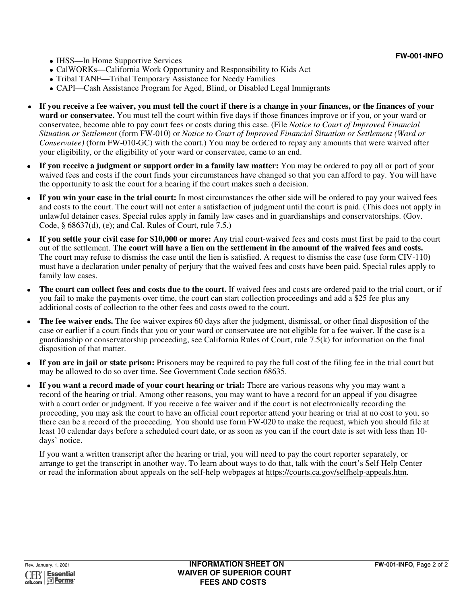- IHSS—In Home Supportive Services
- CalWORKs—California Work Opportunity and Responsibility to Kids Act
- Tribal TANF—Tribal Temporary Assistance for Needy Families
- CAPI—Cash Assistance Program for Aged, Blind, or Disabled Legal Immigrants
- **ward or conservatee.** You must tell the court within five days if those finances improve or if you, or your ward or conservatee, become able to pay court fees or costs during this case. (File *Notice to Court of Improved Financial Situation or Settlement* (form FW-010) or *Notice to Court of Improved Financial Situation or Settlement (Ward or Conservatee)* (form FW-010-GC) with the court*.*) You may be ordered to repay any amounts that were waived after your eligibility, or the eligibility of your ward or conservatee, came to an end. **If you receive a fee waiver, you must tell the court if there is a change in your finances, or the finances of your**
- **If you receive a judgment or support order in a family law matter:** You may be ordered to pay all or part of your waived fees and costs if the court finds your circumstances have changed so that you can afford to pay. You will have the opportunity to ask the court for a hearing if the court makes such a decision.
- **If you win your case in the trial court:** In most circumstances the other side will be ordered to pay your waived fees and costs to the court. The court will not enter a satisfaction of judgment until the court is paid. (This does not apply in unlawful detainer cases. Special rules apply in family law cases and in guardianships and conservatorships. (Gov. Code, § 68637(d), (e); and Cal. Rules of Court, rule 7.5.)
- **If you settle your civil case for \$10,000 or more:** Any trial court-waived fees and costs must first be paid to the court out of the settlement. **The court will have a lien on the settlement in the amount of the waived fees and costs.** The court may refuse to dismiss the case until the lien is satisfied. A request to dismiss the case (use form CIV-110) must have a declaration under penalty of perjury that the waived fees and costs have been paid. Special rules apply to family law cases.
- you fail to make the payments over time, the court can start collection proceedings and add a \$25 fee plus any additional costs of collection to the other fees and costs owed to the court. **The court can collect fees and costs due to the court.** If waived fees and costs are ordered paid to the trial court, or if
- **The fee waiver ends.** The fee waiver expires 60 days after the judgment, dismissal, or other final disposition of the case or earlier if a court finds that you or your ward or conservatee are not eligible for a fee waiver. If the case is a guardianship or conservatorship proceeding, see California Rules of Court, rule 7.5(k) for information on the final disposition of that matter.
- **If you are in jail or state prison:** Prisoners may be required to pay the full cost of the filing fee in the trial court but may be allowed to do so over time. See Government Code section 68635.
- record of the hearing or trial. Among other reasons, you may want to have a record for an appeal if you disagree with a court order or judgment. If you receive a fee waiver and if the court is not electronically recording the proceeding, you may ask the court to have an official court reporter attend your hearing or trial at no cost to you, so there can be a record of the proceeding. You should use form FW-020 to make the request, which you should file at least 10 calendar days before a scheduled court date, or as soon as you can if the court date is set with less than 10 days' notice. **If you want a record made of your court hearing or trial:** There are various reasons why you may want a

If you want a written transcript after the hearing or trial, you will need to pay the court reporter separately, or arrange to get the transcript in another way. To learn about ways to do that, talk with the court's Self Help Center or read the information about appeals on the self-help webpages at https://courts.ca.gov/selfhelp-appeals.htm.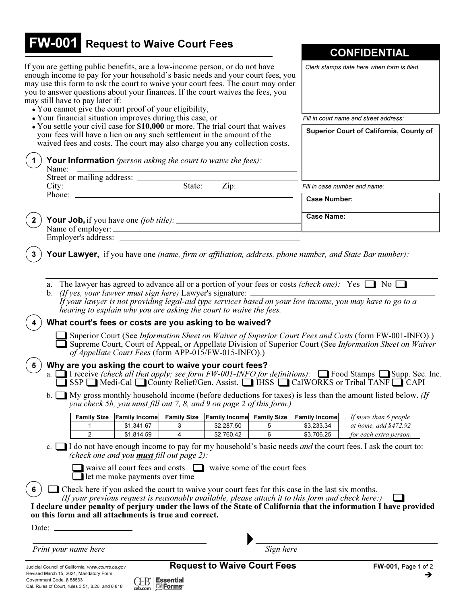## **FW-001** Request to Waive Court Fees

If you are getting public benefits, are a low-income person, or do not have enough income to pay for your household's basic needs and your court fees, you may use this form to ask the court to waive your court fees. The court may order you to answer questions about your finances. If the court waives the fees, you may still have to pay later if:

- You cannot give the court proof of your eligibility,
- Your financial situation improves during this case, or
- You settle your civil case for \$10,000 or more. The trial court that waives

**CONFIDENTIAL** 

Clerk stamps date here when form is filed.

Fill in court name and street address:

|       |                                                          | $\bullet$ Tou settle your crylicase for $\mathfrak{sl}_2$ , to though the trial court that waives<br>your fees will have a lien on any such settlement in the amount of the<br>waived fees and costs. The court may also charge you any collection costs. |                |            |           |                      | Superior Court of California, County of                                                                                                                                                                                                     |
|-------|----------------------------------------------------------|-----------------------------------------------------------------------------------------------------------------------------------------------------------------------------------------------------------------------------------------------------------|----------------|------------|-----------|----------------------|---------------------------------------------------------------------------------------------------------------------------------------------------------------------------------------------------------------------------------------------|
|       |                                                          | <b>Your Information</b> (person asking the court to waive the fees):                                                                                                                                                                                      |                |            |           |                      |                                                                                                                                                                                                                                             |
| Name: |                                                          |                                                                                                                                                                                                                                                           |                |            |           |                      |                                                                                                                                                                                                                                             |
|       |                                                          |                                                                                                                                                                                                                                                           |                |            |           |                      |                                                                                                                                                                                                                                             |
|       |                                                          |                                                                                                                                                                                                                                                           |                |            |           |                      | Fill in case number and name:                                                                                                                                                                                                               |
|       |                                                          |                                                                                                                                                                                                                                                           |                |            |           | <b>Case Number:</b>  |                                                                                                                                                                                                                                             |
|       |                                                          |                                                                                                                                                                                                                                                           |                |            |           | <b>Case Name:</b>    |                                                                                                                                                                                                                                             |
|       |                                                          |                                                                                                                                                                                                                                                           |                |            |           |                      |                                                                                                                                                                                                                                             |
|       |                                                          |                                                                                                                                                                                                                                                           |                |            |           |                      |                                                                                                                                                                                                                                             |
|       |                                                          |                                                                                                                                                                                                                                                           |                |            |           |                      |                                                                                                                                                                                                                                             |
|       |                                                          |                                                                                                                                                                                                                                                           |                |            |           |                      | <b>Your Lawyer,</b> if you have one <i>(name, firm or affiliation, address, phone number, and State Bar number):</i>                                                                                                                        |
|       |                                                          |                                                                                                                                                                                                                                                           |                |            |           |                      |                                                                                                                                                                                                                                             |
|       |                                                          |                                                                                                                                                                                                                                                           |                |            |           |                      |                                                                                                                                                                                                                                             |
|       |                                                          |                                                                                                                                                                                                                                                           |                |            |           |                      | a. The lawyer has agreed to advance all or a portion of your fees or costs <i>(check one)</i> : Yes $\Box$ No $\Box$                                                                                                                        |
|       |                                                          | b. (If yes, your lawyer must sign here) Lawyer's signature:                                                                                                                                                                                               |                |            |           |                      |                                                                                                                                                                                                                                             |
|       |                                                          | hearing to explain why you are asking the court to waive the fees.                                                                                                                                                                                        |                |            |           |                      | If your lawyer is not providing legal-aid type services based on your low income, you may have to go to a                                                                                                                                   |
|       |                                                          |                                                                                                                                                                                                                                                           |                |            |           |                      |                                                                                                                                                                                                                                             |
|       |                                                          | What court's fees or costs are you asking to be waived?                                                                                                                                                                                                   |                |            |           |                      |                                                                                                                                                                                                                                             |
|       |                                                          |                                                                                                                                                                                                                                                           |                |            |           |                      | Superior Court (See Information Sheet on Waiver of Superior Court Fees and Costs (form FW-001-INFO).)                                                                                                                                       |
|       |                                                          |                                                                                                                                                                                                                                                           |                |            |           |                      | Supreme Court, Court of Appeal, or Appellate Division of Superior Court (See Information Sheet on Waiver                                                                                                                                    |
|       |                                                          | of Appellate Court Fees (form APP-015/FW-015-INFO).)                                                                                                                                                                                                      |                |            |           |                      |                                                                                                                                                                                                                                             |
| 5     |                                                          | Why are you asking the court to waive your court fees?                                                                                                                                                                                                    |                |            |           |                      |                                                                                                                                                                                                                                             |
|       |                                                          |                                                                                                                                                                                                                                                           |                |            |           |                      |                                                                                                                                                                                                                                             |
|       |                                                          |                                                                                                                                                                                                                                                           |                |            |           |                      | a. I receive <i>(check all that apply; see form FW-001-INFO for definitions)</i> : $\Box$ Food Stamps $\Box$ Supp. Sec. Inc<br>SSP $\Box$ Medi-Cal $\Box$ County Relief/Gen. Assist. $\Box$ IHSS $\Box$ CalWORKS or Tribal TANF $\Box$ CAPI |
|       |                                                          |                                                                                                                                                                                                                                                           |                |            |           |                      | b. $\Box$ My gross monthly household income (before deductions for taxes) is less than the amount listed below. (If                                                                                                                         |
|       |                                                          | you check 5b, you must fill out 7, 8, and 9 on page 2 of this form.)                                                                                                                                                                                      |                |            |           |                      |                                                                                                                                                                                                                                             |
|       | <b>Family Size</b>                                       | Family Income Family Size Family Income Family Size                                                                                                                                                                                                       |                |            |           | <b>Family Income</b> | If more than 6 people                                                                                                                                                                                                                       |
|       | 1                                                        | \$1,341.67                                                                                                                                                                                                                                                | 3              | \$2,287.50 | 5         | \$3,233.34           | at home, add \$472.92                                                                                                                                                                                                                       |
|       | $\overline{2}$                                           | \$1,814.59                                                                                                                                                                                                                                                | $\overline{4}$ | \$2,760.42 | 6         | \$3,706.25           | for each extra person.                                                                                                                                                                                                                      |
|       |                                                          |                                                                                                                                                                                                                                                           |                |            |           |                      | c. I do not have enough income to pay for my household's basic needs <i>and</i> the court fees. I ask the court to:                                                                                                                         |
|       |                                                          | (check one and you <b>must</b> fill out page $2$ ):                                                                                                                                                                                                       |                |            |           |                      |                                                                                                                                                                                                                                             |
|       |                                                          |                                                                                                                                                                                                                                                           |                |            |           |                      |                                                                                                                                                                                                                                             |
|       |                                                          | $\Box$ waive all court fees and costs $\Box$ waive some of the court fees<br>$\Box$ let me make payments over time                                                                                                                                        |                |            |           |                      |                                                                                                                                                                                                                                             |
|       |                                                          |                                                                                                                                                                                                                                                           |                |            |           |                      |                                                                                                                                                                                                                                             |
|       |                                                          | □ Check here if you asked the court to waive your court fees for this case in the last six months.                                                                                                                                                        |                |            |           |                      |                                                                                                                                                                                                                                             |
|       |                                                          | (If your previous request is reasonably available, please attach it to this form and check here:)                                                                                                                                                         |                |            |           |                      |                                                                                                                                                                                                                                             |
|       |                                                          | on this form and all attachments is true and correct.                                                                                                                                                                                                     |                |            |           |                      | I declare under penalty of perjury under the laws of the State of California that the information I have provided                                                                                                                           |
|       |                                                          |                                                                                                                                                                                                                                                           |                |            |           |                      |                                                                                                                                                                                                                                             |
|       | Date: $\frac{1}{\sqrt{1-\frac{1}{2}} \cdot \frac{1}{2}}$ |                                                                                                                                                                                                                                                           |                |            |           |                      |                                                                                                                                                                                                                                             |
|       |                                                          |                                                                                                                                                                                                                                                           |                |            |           |                      |                                                                                                                                                                                                                                             |
|       | Print your name here                                     |                                                                                                                                                                                                                                                           |                |            | Sign here |                      |                                                                                                                                                                                                                                             |

| CEB <sup>*</sup> Essential<br><b>Expension</b><br><b>Expension</b> |
|--------------------------------------------------------------------|
|                                                                    |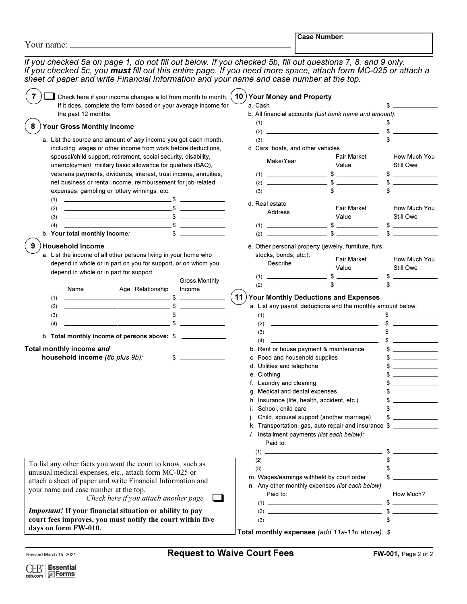| If you checked 5a on page 1, do not fill out below. If you checked 5b, fill out questions 7, 8, and 9 only.<br>If you checked 5c, you must fill out this entire page. If you need more space, attach form MC-025 or attach a<br>sheet of paper and write Financial Information and your name and case number at the top. |                                                                                                                                                                                                                                                                                                                                                                                                                                                                         |                                                   |
|--------------------------------------------------------------------------------------------------------------------------------------------------------------------------------------------------------------------------------------------------------------------------------------------------------------------------|-------------------------------------------------------------------------------------------------------------------------------------------------------------------------------------------------------------------------------------------------------------------------------------------------------------------------------------------------------------------------------------------------------------------------------------------------------------------------|---------------------------------------------------|
| Check here if your income changes a lot from month to month. $(10)$<br>If it does, complete the form based on your average income for                                                                                                                                                                                    | Your Money and Property<br>a. Cash                                                                                                                                                                                                                                                                                                                                                                                                                                      |                                                   |
| the past 12 months.<br>Your Gross Monthly Income<br>-8                                                                                                                                                                                                                                                                   | b. All financial accounts (List bank name and amount):<br>$(1)$ $\qquad \qquad$                                                                                                                                                                                                                                                                                                                                                                                         |                                                   |
| a. List the source and amount of any income you get each month,                                                                                                                                                                                                                                                          | $(2)$ $\qquad \qquad$                                                                                                                                                                                                                                                                                                                                                                                                                                                   |                                                   |
| including: wages or other income from work before deductions,                                                                                                                                                                                                                                                            | c. Cars, boats, and other vehicles                                                                                                                                                                                                                                                                                                                                                                                                                                      |                                                   |
| spousal/child support, retirement, social security, disability,                                                                                                                                                                                                                                                          | <b>Fair Market</b><br>Make/Year                                                                                                                                                                                                                                                                                                                                                                                                                                         | How Much You                                      |
| unemployment, military basic allowance for quarters (BAQ),                                                                                                                                                                                                                                                               | Value                                                                                                                                                                                                                                                                                                                                                                                                                                                                   | Still Owe                                         |
| veterans payments, dividends, interest, trust income, annuities,                                                                                                                                                                                                                                                         |                                                                                                                                                                                                                                                                                                                                                                                                                                                                         | $\frac{1}{2}$                                     |
| net business or rental income, reimbursement for job-related                                                                                                                                                                                                                                                             | $\upbeta$ $\qquad \qquad$ $\upbeta$ $\qquad \qquad$                                                                                                                                                                                                                                                                                                                                                                                                                     |                                                   |
| expenses, gambling or lottery winnings, etc.<br>(1)                                                                                                                                                                                                                                                                      |                                                                                                                                                                                                                                                                                                                                                                                                                                                                         |                                                   |
| (2)                                                                                                                                                                                                                                                                                                                      | d. Real estate<br><b>Fair Market</b>                                                                                                                                                                                                                                                                                                                                                                                                                                    | How Much You                                      |
| $\overbrace{\hspace{2.5cm}}^{\text{5}}$<br>(3)                                                                                                                                                                                                                                                                           | Address<br>Value                                                                                                                                                                                                                                                                                                                                                                                                                                                        | Still Owe                                         |
| $\mathbb{S}$<br><u>state and the control of the control of the control of the control of the control of the control of the control of the control of the control of the control of the control of the control of the control of the control of t</u><br>(4)                                                              |                                                                                                                                                                                                                                                                                                                                                                                                                                                                         | $$$ $$$                                           |
| b. Your total monthly income:<br>$\frac{1}{2}$                                                                                                                                                                                                                                                                           | $(2)$ $\longrightarrow$ \$                                                                                                                                                                                                                                                                                                                                                                                                                                              |                                                   |
| 9<br><b>Household Income</b>                                                                                                                                                                                                                                                                                             | e. Other personal property (jewelry, furniture, furs,                                                                                                                                                                                                                                                                                                                                                                                                                   |                                                   |
| a. List the income of all other persons living in your home who                                                                                                                                                                                                                                                          | stocks, bonds, etc.):                                                                                                                                                                                                                                                                                                                                                                                                                                                   |                                                   |
| depend in whole or in part on you for support, or on whom you                                                                                                                                                                                                                                                            | Fair Market<br>Describe<br>Value                                                                                                                                                                                                                                                                                                                                                                                                                                        | How Much You<br>Still Owe                         |
| depend in whole or in part for support.                                                                                                                                                                                                                                                                                  | $\sim$                                                                                                                                                                                                                                                                                                                                                                                                                                                                  |                                                   |
| <b>Gross Monthly</b>                                                                                                                                                                                                                                                                                                     |                                                                                                                                                                                                                                                                                                                                                                                                                                                                         | s                                                 |
| Name<br>Age Relationship<br>Income                                                                                                                                                                                                                                                                                       |                                                                                                                                                                                                                                                                                                                                                                                                                                                                         |                                                   |
| (1)                                                                                                                                                                                                                                                                                                                      | 11<br>Your Monthly Deductions and Expenses<br>a. List any payroll deductions and the monthly amount below:                                                                                                                                                                                                                                                                                                                                                              |                                                   |
| (2)<br>(3)                                                                                                                                                                                                                                                                                                               | (1)                                                                                                                                                                                                                                                                                                                                                                                                                                                                     |                                                   |
| (4)                                                                                                                                                                                                                                                                                                                      | (2)<br><u> 1989 - Andrea Stadt Britain, amerikansk politiker (</u>                                                                                                                                                                                                                                                                                                                                                                                                      |                                                   |
|                                                                                                                                                                                                                                                                                                                          | <u> 1990 - Johann Barn, mars ann an t-Amhain ann an t-</u><br>(3)                                                                                                                                                                                                                                                                                                                                                                                                       |                                                   |
| b. Total monthly income of persons above: \$                                                                                                                                                                                                                                                                             | (4)                                                                                                                                                                                                                                                                                                                                                                                                                                                                     |                                                   |
| Total monthly income and                                                                                                                                                                                                                                                                                                 | b. Rent or house payment & maintenance                                                                                                                                                                                                                                                                                                                                                                                                                                  | $\mathbb{S}$                                      |
| household income (8b plus 9b):<br>\$                                                                                                                                                                                                                                                                                     | c. Food and household supplies                                                                                                                                                                                                                                                                                                                                                                                                                                          |                                                   |
|                                                                                                                                                                                                                                                                                                                          | d. Utilities and telephone<br>e. Clothing                                                                                                                                                                                                                                                                                                                                                                                                                               |                                                   |
|                                                                                                                                                                                                                                                                                                                          | f. Laundry and cleaning                                                                                                                                                                                                                                                                                                                                                                                                                                                 |                                                   |
|                                                                                                                                                                                                                                                                                                                          | g. Medical and dental expenses                                                                                                                                                                                                                                                                                                                                                                                                                                          |                                                   |
|                                                                                                                                                                                                                                                                                                                          | h. Insurance (life, health, accident, etc.)                                                                                                                                                                                                                                                                                                                                                                                                                             |                                                   |
|                                                                                                                                                                                                                                                                                                                          | i. School, child care                                                                                                                                                                                                                                                                                                                                                                                                                                                   | <u> Louis Communication and the second second</u> |
|                                                                                                                                                                                                                                                                                                                          | j. Child, spousal support (another marriage)                                                                                                                                                                                                                                                                                                                                                                                                                            |                                                   |
|                                                                                                                                                                                                                                                                                                                          | k. Transportation, gas, auto repair and insurance \$                                                                                                                                                                                                                                                                                                                                                                                                                    |                                                   |
|                                                                                                                                                                                                                                                                                                                          | I. Installment payments (list each below):<br>Paid to:                                                                                                                                                                                                                                                                                                                                                                                                                  |                                                   |
|                                                                                                                                                                                                                                                                                                                          | $(1)$ $\overline{\phantom{a}}$ $\overline{\phantom{a}}$ $\overline{\phantom{a}}$ $\overline{\phantom{a}}$ $\overline{\phantom{a}}$ $\overline{\phantom{a}}$ $\overline{\phantom{a}}$ $\overline{\phantom{a}}$ $\overline{\phantom{a}}$ $\overline{\phantom{a}}$ $\overline{\phantom{a}}$ $\overline{\phantom{a}}$ $\overline{\phantom{a}}$ $\overline{\phantom{a}}$ $\overline{\phantom{a}}$ $\overline{\phantom{a}}$ $\overline{\phantom{a}}$ $\overline{\phantom{a}}$ |                                                   |
|                                                                                                                                                                                                                                                                                                                          | $(2)$ $\overbrace{\hspace{2.5cm}}$ $\overbrace{\hspace{2.5cm}}$ $\overbrace{\hspace{2.5cm}}$ $\overbrace{\hspace{2.5cm}}$ $\overbrace{\hspace{2.5cm}}$                                                                                                                                                                                                                                                                                                                  |                                                   |
| To list any other facts you want the court to know, such as<br>unusual medical expenses, etc., attach form MC-025 or                                                                                                                                                                                                     | $(3)$ $\overline{\hspace{1.5cm}3}$ $\overline{\hspace{1.5cm}3}$ $\overline{\hspace{1.5cm}3}$                                                                                                                                                                                                                                                                                                                                                                            |                                                   |
| attach a sheet of paper and write Financial Information and                                                                                                                                                                                                                                                              | m. Wages/earnings withheld by court order                                                                                                                                                                                                                                                                                                                                                                                                                               |                                                   |
| your name and case number at the top.                                                                                                                                                                                                                                                                                    | n. Any other monthly expenses (list each below).                                                                                                                                                                                                                                                                                                                                                                                                                        |                                                   |
| Check here if you attach another page.                                                                                                                                                                                                                                                                                   | Paid to:                                                                                                                                                                                                                                                                                                                                                                                                                                                                | How Much?                                         |
| Important! If your financial situation or ability to pay                                                                                                                                                                                                                                                                 | $\left( 2\right)$ $\longrightarrow$ $\left( 2\right)$ $\longrightarrow$ $\left( 3\right)$                                                                                                                                                                                                                                                                                                                                                                               |                                                   |
| court fees improves, you must notify the court within five                                                                                                                                                                                                                                                               | $\upbeta$ $\qquad \qquad$ $\upbeta$ $\qquad \qquad$                                                                                                                                                                                                                                                                                                                                                                                                                     |                                                   |
| days on form FW-010.                                                                                                                                                                                                                                                                                                     |                                                                                                                                                                                                                                                                                                                                                                                                                                                                         |                                                   |
|                                                                                                                                                                                                                                                                                                                          | Total monthly expenses (add 11a-11n above): \$                                                                                                                                                                                                                                                                                                                                                                                                                          |                                                   |

Revised March 15, 2021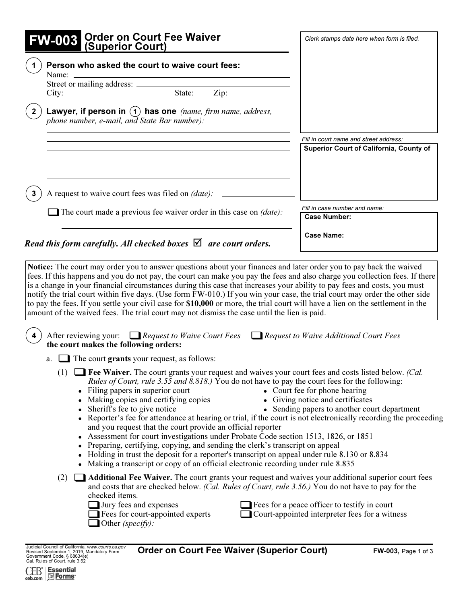| <b>FW-003</b> Order on Court Fee Waiver                                                                                                                                                                                                                                                                                                                                                                                       | Clerk stamps date here when form is filed.                                                                                                                                                                                                                                                                                                      |
|-------------------------------------------------------------------------------------------------------------------------------------------------------------------------------------------------------------------------------------------------------------------------------------------------------------------------------------------------------------------------------------------------------------------------------|-------------------------------------------------------------------------------------------------------------------------------------------------------------------------------------------------------------------------------------------------------------------------------------------------------------------------------------------------|
| Person who asked the court to waive court fees:                                                                                                                                                                                                                                                                                                                                                                               |                                                                                                                                                                                                                                                                                                                                                 |
|                                                                                                                                                                                                                                                                                                                                                                                                                               |                                                                                                                                                                                                                                                                                                                                                 |
| Lawyer, if person in $(1)$ has one (name, firm name, address,<br>$\mathbf{2}$<br>phone number, e-mail, and State Bar number):                                                                                                                                                                                                                                                                                                 |                                                                                                                                                                                                                                                                                                                                                 |
|                                                                                                                                                                                                                                                                                                                                                                                                                               | Fill in court name and street address:                                                                                                                                                                                                                                                                                                          |
|                                                                                                                                                                                                                                                                                                                                                                                                                               | Superior Court of California, County of                                                                                                                                                                                                                                                                                                         |
|                                                                                                                                                                                                                                                                                                                                                                                                                               |                                                                                                                                                                                                                                                                                                                                                 |
| The court made a previous fee waiver order in this case on $(date)$ :                                                                                                                                                                                                                                                                                                                                                         | Fill in case number and name:                                                                                                                                                                                                                                                                                                                   |
|                                                                                                                                                                                                                                                                                                                                                                                                                               | <b>Case Number:</b>                                                                                                                                                                                                                                                                                                                             |
| Read this form carefully. All checked boxes $\Box$ are court orders.                                                                                                                                                                                                                                                                                                                                                          | <b>Case Name:</b>                                                                                                                                                                                                                                                                                                                               |
| After reviewing your: $\Box$ Request to Waive Court Fees $\Box$ Request to Waive Additional Court Fees<br>the court makes the following orders:                                                                                                                                                                                                                                                                               |                                                                                                                                                                                                                                                                                                                                                 |
| a. $\Box$ The court grants your request, as follows:                                                                                                                                                                                                                                                                                                                                                                          |                                                                                                                                                                                                                                                                                                                                                 |
| (1) $\Box$ Fee Waiver. The court grants your request and waives your court fees and costs listed below. (Cal.<br>• Filing papers in superior court<br>• Making copies and certifying copies<br>• Sheriff's fee to give notice                                                                                                                                                                                                 | <i>Rules of Court, rule 3.55 and 8.818.</i> ) You do not have to pay the court fees for the following:<br>• Court fee for phone hearing<br>• Giving notice and certificates<br>• Sending papers to another court department<br>• Reporter's fee for attendance at hearing or trial, if the court is not electronically recording the proceeding |
| and you request that the court provide an official reporter<br>• Assessment for court investigations under Probate Code section 1513, 1826, or 1851<br>• Preparing, certifying, copying, and sending the clerk's transcript on appeal<br>• Holding in trust the deposit for a reporter's transcript on appeal under rule 8.130 or 8.834<br>• Making a transcript or copy of an official electronic recording under rule 8.835 |                                                                                                                                                                                                                                                                                                                                                 |
| checked items.                                                                                                                                                                                                                                                                                                                                                                                                                | $(2)$ <b>Additional Fee Waiver.</b> The court grants your request and waives your additional superior court fees<br>and costs that are checked below. (Cal. Rules of Court, rule 3.56.) You do not have to pay for the                                                                                                                          |
| $\Box$ Jury fees and expenses<br>$\Box$ Fees for court-appointed experts<br>$\Box$ Other (specify): $\Box$                                                                                                                                                                                                                                                                                                                    | $\Box$ Fees for a peace officer to testify in court<br>□ Court-appointed interpreter fees for a witness                                                                                                                                                                                                                                         |
|                                                                                                                                                                                                                                                                                                                                                                                                                               |                                                                                                                                                                                                                                                                                                                                                 |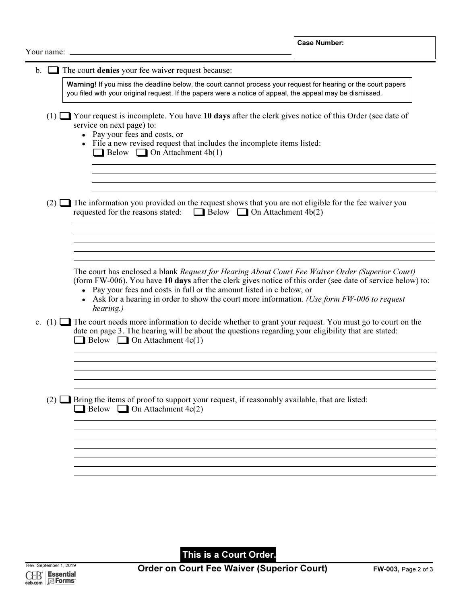**Case Number:** 

| $\Box$ The court denies your fee waiver request because:<br>b.                                                                                                                                                                                                                                                                                                                                     |
|----------------------------------------------------------------------------------------------------------------------------------------------------------------------------------------------------------------------------------------------------------------------------------------------------------------------------------------------------------------------------------------------------|
| Warning! If you miss the deadline below, the court cannot process your request for hearing or the court papers<br>you filed with your original request. If the papers were a notice of appeal, the appeal may be dismissed.                                                                                                                                                                        |
| $(1)$ $\blacksquare$ Your request is incomplete. You have 10 days after the clerk gives notice of this Order (see date of<br>service on next page) to:<br>• Pay your fees and costs, or<br>• File a new revised request that includes the incomplete items listed:<br>$\Box$ Below $\Box$ On Attachment 4b(1)                                                                                      |
| (2) $\Box$ The information you provided on the request shows that you are not eligible for the fee waiver you<br>requested for the reasons stated: $\Box$ Below $\Box$ On Attachment 4b(2)                                                                                                                                                                                                         |
| The court has enclosed a blank Request for Hearing About Court Fee Waiver Order (Superior Court)<br>(form FW-006). You have 10 days after the clerk gives notice of this order (see date of service below) to:<br>• Pay your fees and costs in full or the amount listed in c below, or<br>Ask for a hearing in order to show the court more information. (Use form FW-006 to request<br>hearing.) |
| c. (1) $\Box$ The court needs more information to decide whether to grant your request. You must go to court on the<br>date on page 3. The hearing will be about the questions regarding your eligibility that are stated:<br><b>Below Q</b> On Attachment $4c(1)$                                                                                                                                 |
|                                                                                                                                                                                                                                                                                                                                                                                                    |
| <b>B</b> Bring the items of proof to support your request, if reasonably available, that are listed:<br>$(2)$ [<br><b>Below On Attachment</b> $4c(2)$                                                                                                                                                                                                                                              |
|                                                                                                                                                                                                                                                                                                                                                                                                    |

This is a Court Order.

Order on Court Fee Waiver (Superior Court)